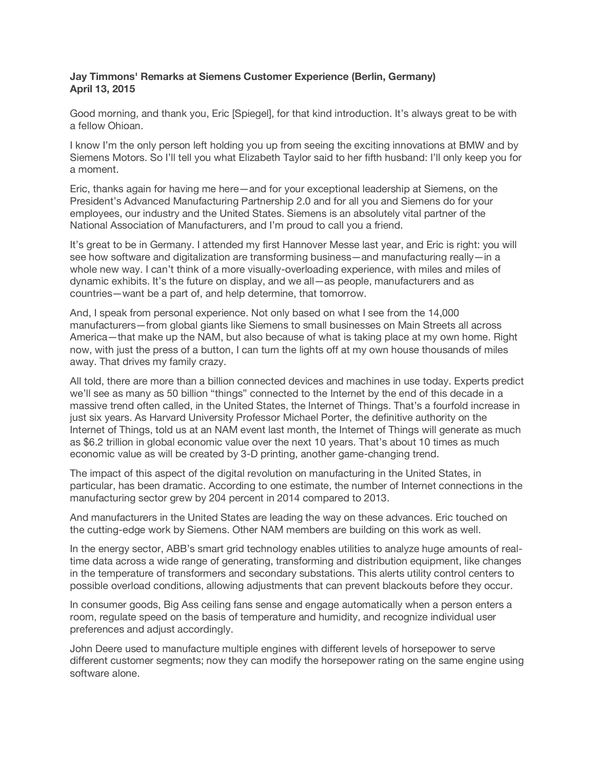## **Jay Timmons' Remarks at Siemens Customer Experience (Berlin, Germany) April 13, 2015**

Good morning, and thank you, Eric [Spiegel], for that kind introduction. It's always great to be with a fellow Ohioan.

I know I'm the only person left holding you up from seeing the exciting innovations at BMW and by Siemens Motors. So I'll tell you what Elizabeth Taylor said to her fifth husband: I'll only keep you for a moment.

Eric, thanks again for having me here—and for your exceptional leadership at Siemens, on the President's Advanced Manufacturing Partnership 2.0 and for all you and Siemens do for your employees, our industry and the United States. Siemens is an absolutely vital partner of the National Association of Manufacturers, and I'm proud to call you a friend.

It's great to be in Germany. I attended my first Hannover Messe last year, and Eric is right: you will see how software and digitalization are transforming business—and manufacturing really—in a whole new way. I can't think of a more visually-overloading experience, with miles and miles of dynamic exhibits. It's the future on display, and we all—as people, manufacturers and as countries—want be a part of, and help determine, that tomorrow.

And, I speak from personal experience. Not only based on what I see from the 14,000 manufacturers—from global giants like Siemens to small businesses on Main Streets all across America—that make up the NAM, but also because of what is taking place at my own home. Right now, with just the press of a button, I can turn the lights off at my own house thousands of miles away. That drives my family crazy.

All told, there are more than a billion connected devices and machines in use today. Experts predict we'll see as many as 50 billion "things" connected to the Internet by the end of this decade in a massive trend often called, in the United States, the Internet of Things. That's a fourfold increase in just six years. As Harvard University Professor Michael Porter, the definitive authority on the Internet of Things, told us at an NAM event last month, the Internet of Things will generate as much as \$6.2 trillion in global economic value over the next 10 years. That's about 10 times as much economic value as will be created by 3-D printing, another game-changing trend.

The impact of this aspect of the digital revolution on manufacturing in the United States, in particular, has been dramatic. According to one estimate, the number of Internet connections in the manufacturing sector grew by 204 percent in 2014 compared to 2013.

And manufacturers in the United States are leading the way on these advances. Eric touched on the cutting-edge work by Siemens. Other NAM members are building on this work as well.

In the energy sector, ABB's smart grid technology enables utilities to analyze huge amounts of realtime data across a wide range of generating, transforming and distribution equipment, like changes in the temperature of transformers and secondary substations. This alerts utility control centers to possible overload conditions, allowing adjustments that can prevent blackouts before they occur.

In consumer goods, Big Ass ceiling fans sense and engage automatically when a person enters a room, regulate speed on the basis of temperature and humidity, and recognize individual user preferences and adjust accordingly.

John Deere used to manufacture multiple engines with different levels of horsepower to serve different customer segments; now they can modify the horsepower rating on the same engine using software alone.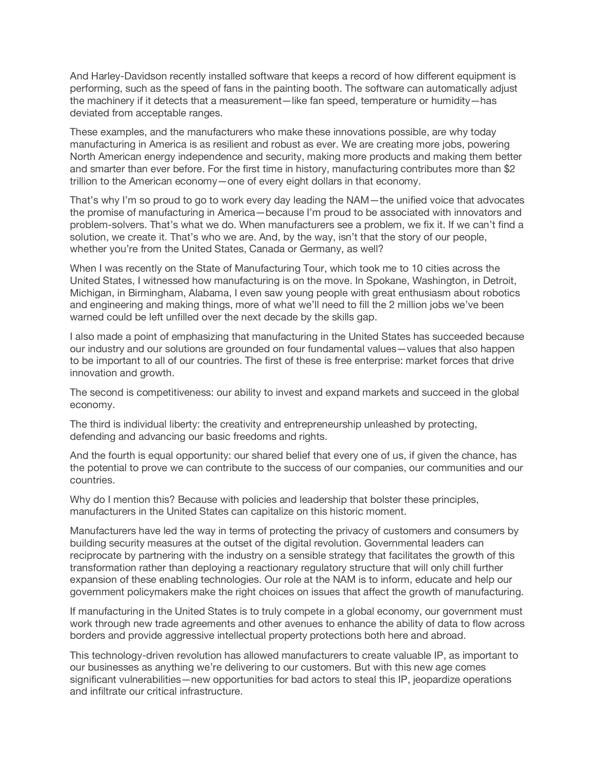And Harley-Davidson recently installed software that keeps a record of how different equipment is performing, such as the speed of fans in the painting booth. The software can automatically adjust the machinery if it detects that a measurement—like fan speed, temperature or humidity—has deviated from acceptable ranges.

These examples, and the manufacturers who make these innovations possible, are why today manufacturing in America is as resilient and robust as ever. We are creating more jobs, powering North American energy independence and security, making more products and making them better and smarter than ever before. For the first time in history, manufacturing contributes more than \$2 trillion to the American economy—one of every eight dollars in that economy.

That's why I'm so proud to go to work every day leading the NAM—the unified voice that advocates the promise of manufacturing in America—because I'm proud to be associated with innovators and problem-solvers. That's what we do. When manufacturers see a problem, we fix it. If we can't find a solution, we create it. That's who we are. And, by the way, isn't that the story of our people, whether you're from the United States, Canada or Germany, as well?

When I was recently on the State of Manufacturing Tour, which took me to 10 cities across the United States, I witnessed how manufacturing is on the move. In Spokane, Washington, in Detroit, Michigan, in Birmingham, Alabama, I even saw young people with great enthusiasm about robotics and engineering and making things, more of what we'll need to fill the 2 million jobs we've been warned could be left unfilled over the next decade by the skills gap.

I also made a point of emphasizing that manufacturing in the United States has succeeded because our industry and our solutions are grounded on four fundamental values—values that also happen to be important to all of our countries. The first of these is free enterprise: market forces that drive innovation and growth.

The second is competitiveness: our ability to invest and expand markets and succeed in the global economy.

The third is individual liberty: the creativity and entrepreneurship unleashed by protecting, defending and advancing our basic freedoms and rights.

And the fourth is equal opportunity: our shared belief that every one of us, if given the chance, has the potential to prove we can contribute to the success of our companies, our communities and our countries.

Why do I mention this? Because with policies and leadership that bolster these principles, manufacturers in the United States can capitalize on this historic moment.

Manufacturers have led the way in terms of protecting the privacy of customers and consumers by building security measures at the outset of the digital revolution. Governmental leaders can reciprocate by partnering with the industry on a sensible strategy that facilitates the growth of this transformation rather than deploying a reactionary regulatory structure that will only chill further expansion of these enabling technologies. Our role at the NAM is to inform, educate and help our government policymakers make the right choices on issues that affect the growth of manufacturing.

If manufacturing in the United States is to truly compete in a global economy, our government must work through new trade agreements and other avenues to enhance the ability of data to flow across borders and provide aggressive intellectual property protections both here and abroad.

This technology-driven revolution has allowed manufacturers to create valuable IP, as important to our businesses as anything we're delivering to our customers. But with this new age comes significant vulnerabilities—new opportunities for bad actors to steal this IP, jeopardize operations and infiltrate our critical infrastructure.